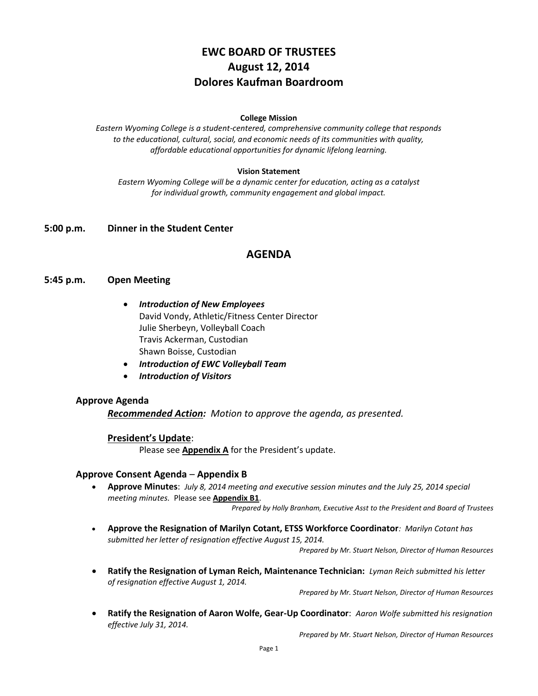# **EWC BOARD OF TRUSTEES August 12, 2014 Dolores Kaufman Boardroom**

#### **College Mission**

*Eastern Wyoming College is a student-centered, comprehensive community college that responds to the educational, cultural, social, and economic needs of its communities with quality, affordable educational opportunities for dynamic lifelong learning.*

#### **Vision Statement**

*Eastern Wyoming College will be a dynamic center for education, acting as a catalyst for individual growth, community engagement and global impact.*

### **5:00 p.m. Dinner in the Student Center**

### **AGENDA**

#### **5:45 p.m. Open Meeting**

- *Introduction of New Employees* David Vondy, Athletic/Fitness Center Director Julie Sherbeyn, Volleyball Coach Travis Ackerman, Custodian Shawn Boisse, Custodian
- *Introduction of EWC Volleyball Team*
- *Introduction of Visitors*

#### **Approve Agenda**

*Recommended Action: Motion to approve the agenda, as presented.*

#### **President's Update**:

Please see **Appendix A** for the President's update.

#### **Approve Consent Agenda** – **Appendix B**

 **Approve Minutes**: *July 8, 2014 meeting and executive session minutes and the July 25, 2014 special meeting minutes.* Please see **Appendix B1**.

*Prepared by Holly Branham, Executive Asst to the President and Board of Trustees*

 **Approve the Resignation of Marilyn Cotant, ETSS Workforce Coordinator***: Marilyn Cotant has submitted her letter of resignation effective August 15, 2014.*

*Prepared by Mr. Stuart Nelson, Director of Human Resources*

 **Ratify the Resignation of Lyman Reich, Maintenance Technician:** *Lyman Reich submitted his letter of resignation effective August 1, 2014.*

*Prepared by Mr. Stuart Nelson, Director of Human Resources* 

 **Ratify the Resignation of Aaron Wolfe, Gear-Up Coordinator**: *Aaron Wolfe submitted his resignation effective July 31, 2014.*

*Prepared by Mr. Stuart Nelson, Director of Human Resources*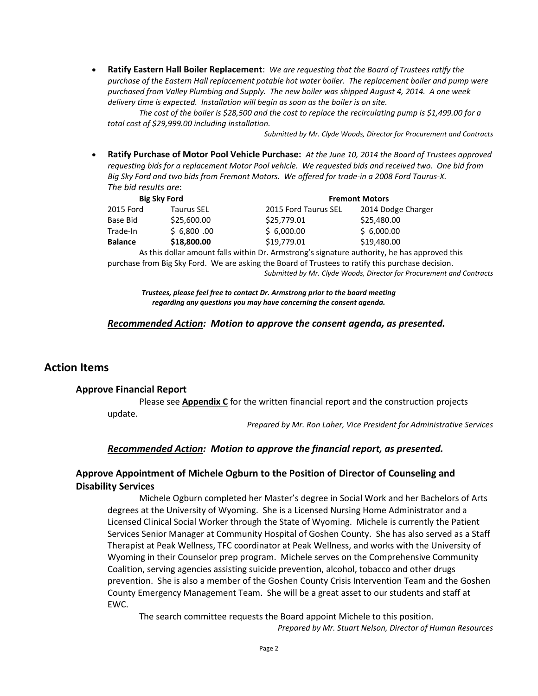**Ratify Eastern Hall Boiler Replacement**: *We are requesting that the Board of Trustees ratify the purchase of the Eastern Hall replacement potable hot water boiler. The replacement boiler and pump were purchased from Valley Plumbing and Supply. The new boiler was shipped August 4, 2014. A one week delivery time is expected. Installation will begin as soon as the boiler is on site.*

*The cost of the boiler is \$28,500 and the cost to replace the recirculating pump is \$1,499.00 for a total cost of \$29,999.00 including installation.*

*Submitted by Mr. Clyde Woods, Director for Procurement and Contracts*

 **Ratify Purchase of Motor Pool Vehicle Purchase:** *At the June 10, 2014 the Board of Trustees approved requesting bids for a replacement Motor Pool vehicle. We requested bids and received two. One bid from Big Sky Ford and two bids from Fremont Motors. We offered for trade-in a 2008 Ford Taurus-X. The bid results are*:

| <b>Big Sky Ford</b> |                   | <b>Fremont Motors</b> |                    |
|---------------------|-------------------|-----------------------|--------------------|
| 2015 Ford           | <b>Taurus SEL</b> | 2015 Ford Taurus SEL  | 2014 Dodge Charger |
| Base Bid            | \$25,600.00       | \$25,779.01           | \$25,480.00        |
| Trade-In            | \$6,800.00        | \$6,000.00            | \$6,000.00         |
| <b>Balance</b>      | \$18,800.00       | \$19,779.01           | \$19,480.00        |

As this dollar amount falls within Dr. Armstrong's signature authority, he has approved this purchase from Big Sky Ford. We are asking the Board of Trustees to ratify this purchase decision. *Submitted by Mr. Clyde Woods, Director for Procurement and Contracts*

*Trustees, please feel free to contact Dr. Armstrong prior to the board meeting regarding any questions you may have concerning the consent agenda.*

### *Recommended Action: Motion to approve the consent agenda, as presented.*

### **Action Items**

#### **Approve Financial Report**

Please see **Appendix C** for the written financial report and the construction projects update.

*Prepared by Mr. Ron Laher, Vice President for Administrative Services*

### *Recommended Action: Motion to approve the financial report, as presented.*

# **Approve Appointment of Michele Ogburn to the Position of Director of Counseling and Disability Services**

Michele Ogburn completed her Master's degree in Social Work and her Bachelors of Arts degrees at the University of Wyoming. She is a Licensed Nursing Home Administrator and a Licensed Clinical Social Worker through the State of Wyoming. Michele is currently the Patient Services Senior Manager at Community Hospital of Goshen County. She has also served as a Staff Therapist at Peak Wellness, TFC coordinator at Peak Wellness, and works with the University of Wyoming in their Counselor prep program. Michele serves on the Comprehensive Community Coalition, serving agencies assisting suicide prevention, alcohol, tobacco and other drugs prevention. She is also a member of the Goshen County Crisis Intervention Team and the Goshen County Emergency Management Team. She will be a great asset to our students and staff at EWC.

The search committee requests the Board appoint Michele to this position. *Prepared by Mr. Stuart Nelson, Director of Human Resources*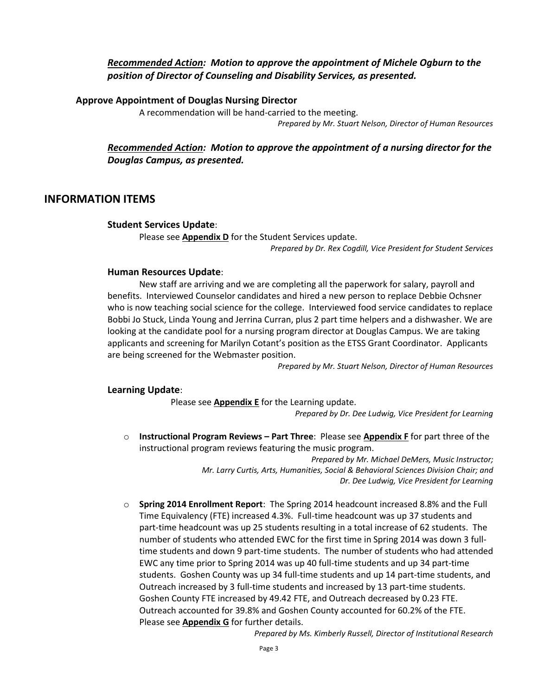# *Recommended Action: Motion to approve the appointment of Michele Ogburn to the position of Director of Counseling and Disability Services, as presented.*

### **Approve Appointment of Douglas Nursing Director**

A recommendation will be hand-carried to the meeting.

*Prepared by Mr. Stuart Nelson, Director of Human Resources*

# *Recommended Action: Motion to approve the appointment of a nursing director for the Douglas Campus, as presented.*

# **INFORMATION ITEMS**

### **Student Services Update**:

Please see **Appendix D** for the Student Services update. *Prepared by Dr. Rex Cogdill, Vice President for Student Services*

### **Human Resources Update**:

New staff are arriving and we are completing all the paperwork for salary, payroll and benefits. Interviewed Counselor candidates and hired a new person to replace Debbie Ochsner who is now teaching social science for the college. Interviewed food service candidates to replace Bobbi Jo Stuck, Linda Young and Jerrina Curran, plus 2 part time helpers and a dishwasher. We are looking at the candidate pool for a nursing program director at Douglas Campus. We are taking applicants and screening for Marilyn Cotant's position as the ETSS Grant Coordinator. Applicants are being screened for the Webmaster position.

*Prepared by Mr. Stuart Nelson, Director of Human Resources*

### **Learning Update**:

Please see **Appendix E** for the Learning update.

*Prepared by Dr. Dee Ludwig, Vice President for Learning*

o **Instructional Program Reviews – Part Three**: Please see **Appendix F** for part three of the instructional program reviews featuring the music program.

> *Prepared by Mr. Michael DeMers, Music Instructor; Mr. Larry Curtis, Arts, Humanities, Social & Behavioral Sciences Division Chair; and Dr. Dee Ludwig, Vice President for Learning*

o **Spring 2014 Enrollment Report**: The Spring 2014 headcount increased 8.8% and the Full Time Equivalency (FTE) increased 4.3%. Full-time headcount was up 37 students and part-time headcount was up 25 students resulting in a total increase of 62 students. The number of students who attended EWC for the first time in Spring 2014 was down 3 fulltime students and down 9 part-time students. The number of students who had attended EWC any time prior to Spring 2014 was up 40 full-time students and up 34 part-time students. Goshen County was up 34 full-time students and up 14 part-time students, and Outreach increased by 3 full-time students and increased by 13 part-time students. Goshen County FTE increased by 49.42 FTE, and Outreach decreased by 0.23 FTE. Outreach accounted for 39.8% and Goshen County accounted for 60.2% of the FTE. Please see **Appendix G** for further details.

*Prepared by Ms. Kimberly Russell, Director of Institutional Research*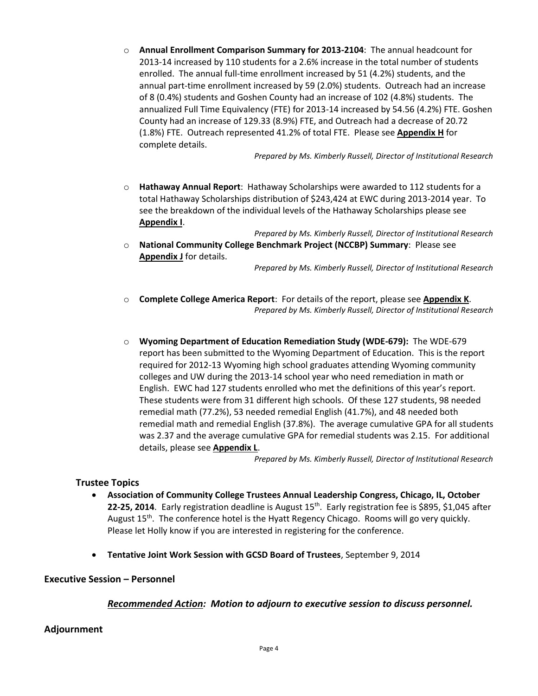o **Annual Enrollment Comparison Summary for 2013-2104**: The annual headcount for 2013-14 increased by 110 students for a 2.6% increase in the total number of students enrolled. The annual full-time enrollment increased by 51 (4.2%) students, and the annual part-time enrollment increased by 59 (2.0%) students. Outreach had an increase of 8 (0.4%) students and Goshen County had an increase of 102 (4.8%) students. The annualized Full Time Equivalency (FTE) for 2013-14 increased by 54.56 (4.2%) FTE. Goshen County had an increase of 129.33 (8.9%) FTE, and Outreach had a decrease of 20.72 (1.8%) FTE. Outreach represented 41.2% of total FTE. Please see **Appendix H** for complete details.

*Prepared by Ms. Kimberly Russell, Director of Institutional Research*

- o **Hathaway Annual Report**: Hathaway Scholarships were awarded to 112 students for a total Hathaway Scholarships distribution of \$243,424 at EWC during 2013-2014 year. To see the breakdown of the individual levels of the Hathaway Scholarships please see **Appendix I**.
- *Prepared by Ms. Kimberly Russell, Director of Institutional Research* o **National Community College Benchmark Project (NCCBP) Summary**: Please see **Appendix J** for details.

*Prepared by Ms. Kimberly Russell, Director of Institutional Research*

- o **Complete College America Report**: For details of the report, please see **Appendix K**. *Prepared by Ms. Kimberly Russell, Director of Institutional Research*
- o **Wyoming Department of Education Remediation Study (WDE-679):** The WDE-679 report has been submitted to the Wyoming Department of Education. This is the report required for 2012-13 Wyoming high school graduates attending Wyoming community colleges and UW during the 2013-14 school year who need remediation in math or English. EWC had 127 students enrolled who met the definitions of this year's report. These students were from 31 different high schools. Of these 127 students, 98 needed remedial math (77.2%), 53 needed remedial English (41.7%), and 48 needed both remedial math and remedial English (37.8%). The average cumulative GPA for all students was 2.37 and the average cumulative GPA for remedial students was 2.15. For additional details, please see **Appendix L**.

*Prepared by Ms. Kimberly Russell, Director of Institutional Research*

# **Trustee Topics**

- **Association of Community College Trustees Annual Leadership Congress, Chicago, IL, October**  22-25, 2014. Early registration deadline is August 15<sup>th</sup>. Early registration fee is \$895, \$1,045 after August  $15<sup>th</sup>$ . The conference hotel is the Hyatt Regency Chicago. Rooms will go very quickly. Please let Holly know if you are interested in registering for the conference.
- **Tentative Joint Work Session with GCSD Board of Trustees**, September 9, 2014

### **Executive Session – Personnel**

# *Recommended Action: Motion to adjourn to executive session to discuss personnel.*

# **Adjournment**